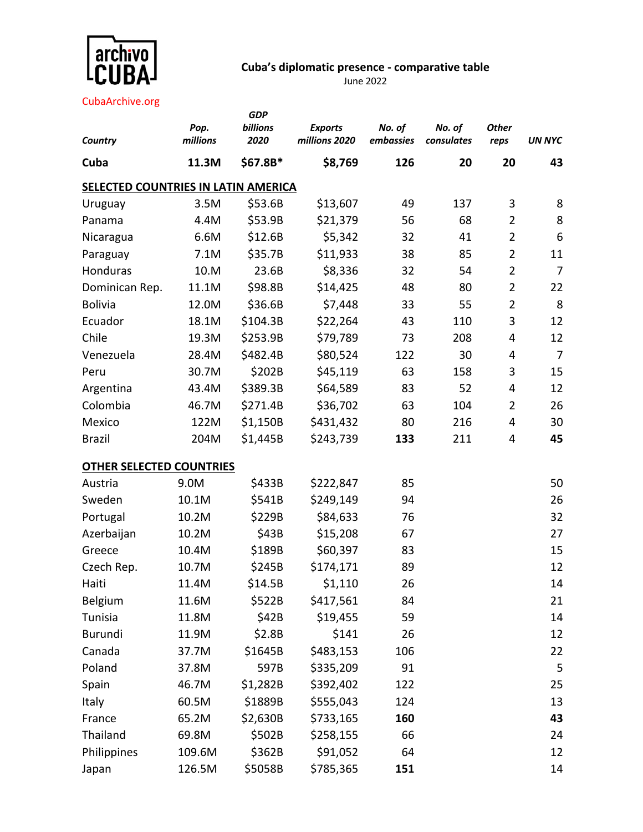

## **Cuba's diplomatic presence - comparative table**

June 2022

CubaArchive.org

|                                     |                  | <b>GDP</b>       |                                 |                     |                      |                      |                |
|-------------------------------------|------------------|------------------|---------------------------------|---------------------|----------------------|----------------------|----------------|
| Country                             | Pop.<br>millions | billions<br>2020 | <b>Exports</b><br>millions 2020 | No. of<br>embassies | No. of<br>consulates | <b>Other</b><br>reps | <b>UN NYC</b>  |
| Cuba                                | 11.3M            | \$67.8B*         | \$8,769                         | 126                 | 20                   | 20                   | 43             |
| SELECTED COUNTRIES IN LATIN AMERICA |                  |                  |                                 |                     |                      |                      |                |
| Uruguay                             | 3.5M             | \$53.6B          | \$13,607                        | 49                  | 137                  | 3                    | 8              |
| Panama                              | 4.4M             | \$53.9B          | \$21,379                        | 56                  | 68                   | $\overline{2}$       | 8              |
| Nicaragua                           | 6.6M             | \$12.6B          | \$5,342                         | 32                  | 41                   | $\overline{2}$       | 6              |
| Paraguay                            | 7.1M             | \$35.7B          | \$11,933                        | 38                  | 85                   | $\overline{2}$       | 11             |
| Honduras                            | 10.M             | 23.6B            | \$8,336                         | 32                  | 54                   | $\overline{2}$       | $\overline{7}$ |
| Dominican Rep.                      | 11.1M            | \$98.8B          | \$14,425                        | 48                  | 80                   | $\overline{2}$       | 22             |
| <b>Bolivia</b>                      | 12.0M            | \$36.6B          | \$7,448                         | 33                  | 55                   | $\overline{2}$       | 8              |
| Ecuador                             | 18.1M            | \$104.3B         | \$22,264                        | 43                  | 110                  | 3                    | 12             |
| Chile                               | 19.3M            | \$253.9B         | \$79,789                        | 73                  | 208                  | 4                    | 12             |
| Venezuela                           | 28.4M            | \$482.4B         | \$80,524                        | 122                 | 30                   | 4                    | $\overline{7}$ |
| Peru                                | 30.7M            | \$202B           | \$45,119                        | 63                  | 158                  | 3                    | 15             |
| Argentina                           | 43.4M            | \$389.3B         | \$64,589                        | 83                  | 52                   | 4                    | 12             |
| Colombia                            | 46.7M            | \$271.4B         | \$36,702                        | 63                  | 104                  | $\overline{2}$       | 26             |
| Mexico                              | 122M             | \$1,150B         | \$431,432                       | 80                  | 216                  | 4                    | 30             |
| <b>Brazil</b>                       | 204M             | \$1,445B         | \$243,739                       | 133                 | 211                  | 4                    | 45             |
| <b>OTHER SELECTED COUNTRIES</b>     |                  |                  |                                 |                     |                      |                      |                |
| Austria                             | 9.0M             | \$433B           | \$222,847                       | 85                  |                      |                      | 50             |
| Sweden                              | 10.1M            | \$541B           | \$249,149                       | 94                  |                      |                      | 26             |
| Portugal                            | 10.2M            | \$229B           | \$84,633                        | 76                  |                      |                      | 32             |
| Azerbaijan                          | 10.2M            | \$43B            | \$15,208                        | 67                  |                      |                      | 27             |
| Greece                              | 10.4M            | \$189B           | \$60,397                        | 83                  |                      |                      | 15             |
| Czech Rep.                          | 10.7M            | \$245B           | \$174,171                       | 89                  |                      |                      | 12             |
| Haiti                               | 11.4M            | \$14.5B          | \$1,110                         | 26                  |                      |                      | 14             |
| Belgium                             | 11.6M            | \$522B           | \$417,561                       | 84                  |                      |                      | 21             |
| Tunisia                             | 11.8M            | \$42B            | \$19,455                        | 59                  |                      |                      | 14             |
| Burundi                             | 11.9M            | \$2.8B           | \$141                           | 26                  |                      |                      | 12             |
| Canada                              | 37.7M            | \$1645B          | \$483,153                       | 106                 |                      |                      | 22             |
| Poland                              | 37.8M            | 597B             | \$335,209                       | 91                  |                      |                      | 5              |
| Spain                               | 46.7M            | \$1,282B         | \$392,402                       | 122                 |                      |                      | 25             |
| Italy                               | 60.5M            | \$1889B          | \$555,043                       | 124                 |                      |                      | 13             |
| France                              | 65.2M            | \$2,630B         | \$733,165                       | 160                 |                      |                      | 43             |
| Thailand                            | 69.8M            | \$502B           | \$258,155                       | 66                  |                      |                      | 24             |
| Philippines                         | 109.6M           | \$362B           | \$91,052                        | 64                  |                      |                      | 12             |
| Japan                               | 126.5M           | \$5058B          | \$785,365                       | 151                 |                      |                      | 14             |